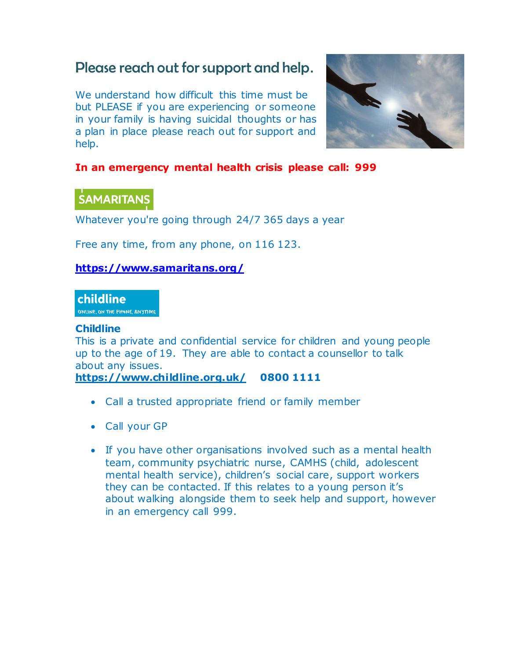## Please reach out for support and help**.**

We understand how difficult this time must be but PLEASE if you are experiencing or someone in your family is having suicidal thoughts or has a plan in place please reach out for support and help.



#### **In an emergency mental health crisis please call: 999**

### **SAMARITANS**

Whatever you're going through 24/7 365 days a year

Free any time, from any phone, on 116 123.

#### **<https://www.samaritans.org/>**

#### **childline**

ONLINE, ON THE PHONE, ANYTIME

#### **Childline**

This is a private and confidential service for children and young people up to the age of 19. They are able to contact a counsellor to talk about any issues.

**<https://www.childline.org.uk/> 0800 1111**

- Call a trusted appropriate friend or family member
- Call your GP
- If you have other organisations involved such as a mental health team, community psychiatric nurse, CAMHS (child, adolescent mental health service), children's social care, support workers they can be contacted. If this relates to a young person it's about walking alongside them to seek help and support, however in an emergency call 999.